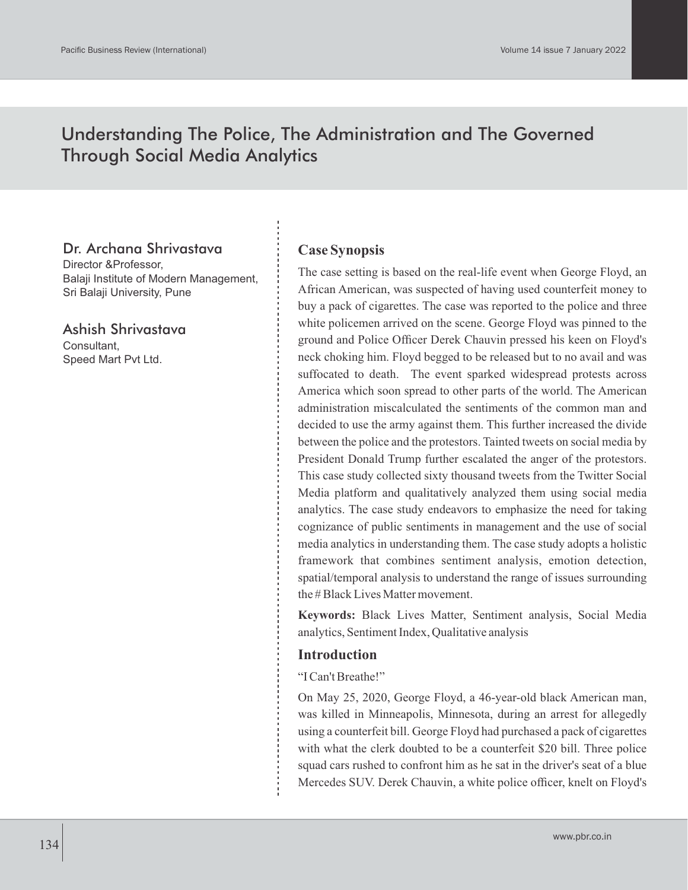# Understanding The Police, The Administration and The Governed Through Social Media Analytics

# Dr. Archana Shrivastava

Director &Professor, Balaji Institute of Modern Management, Sri Balaji University, Pune

Ashish Shrivastava Consultant, Speed Mart Pvt Ltd.

# **Case Synopsis**

The case setting is based on the real-life event when George Floyd, an African American, was suspected of having used counterfeit money to buy a pack of cigarettes. The case was reported to the police and three white policemen arrived on the scene. George Floyd was pinned to the ground and Police Officer Derek Chauvin pressed his keen on Floyd's neck choking him. Floyd begged to be released but to no avail and was suffocated to death. The event sparked widespread protests across America which soon spread to other parts of the world. The American administration miscalculated the sentiments of the common man and decided to use the army against them. This further increased the divide between the police and the protestors. Tainted tweets on social media by President Donald Trump further escalated the anger of the protestors. This case study collected sixty thousand tweets from the Twitter Social Media platform and qualitatively analyzed them using social media analytics. The case study endeavors to emphasize the need for taking cognizance of public sentiments in management and the use of social media analytics in understanding them. The case study adopts a holistic framework that combines sentiment analysis, emotion detection, spatial/temporal analysis to understand the range of issues surrounding the # Black Lives Matter movement.

**Keywords:** Black Lives Matter, Sentiment analysis, Social Media analytics, Sentiment Index, Qualitative analysis

#### **Introduction**

"I Can't Breathe!"

On May 25, 2020, George Floyd, a 46-year-old black American man, was killed in Minneapolis, Minnesota, during an arrest for allegedly using a counterfeit bill. George Floyd had purchased a pack of cigarettes with what the clerk doubted to be a counterfeit \$20 bill. Three police squad cars rushed to confront him as he sat in the driver's seat of a blue Mercedes SUV. Derek Chauvin, a white police officer, knelt on Floyd's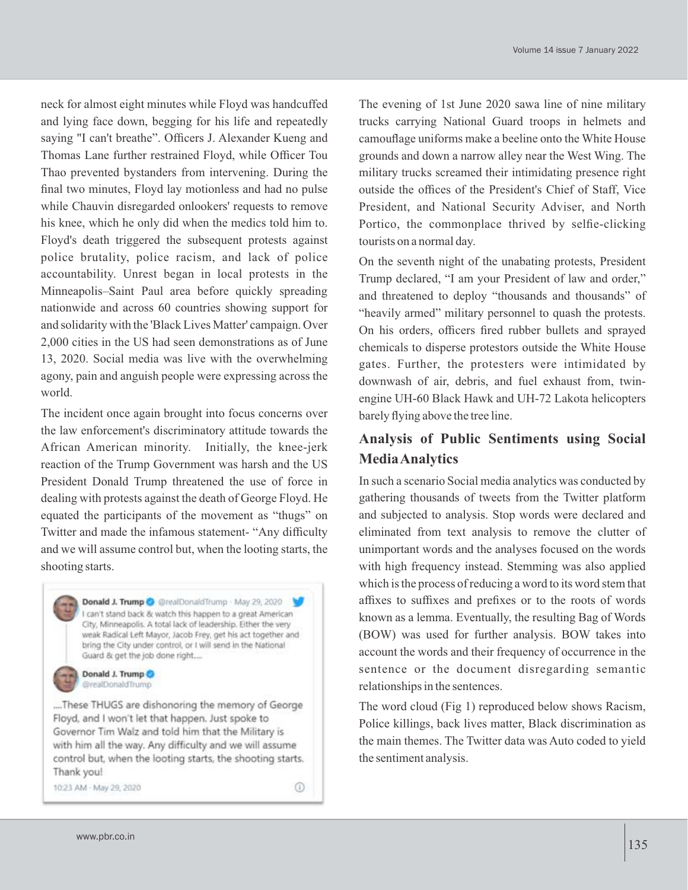neck for almost eight minutes while Floyd was handcuffed and lying face down, begging for his life and repeatedly saying "I can't breathe". Officers J. Alexander Kueng and Thomas Lane further restrained Floyd, while Officer Tou Thao prevented bystanders from intervening. During the final two minutes, Floyd lay motionless and had no pulse while Chauvin disregarded onlookers' requests to remove his knee, which he only did when the medics told him to. Floyd's death triggered the subsequent protests against police brutality, police racism, and lack of police accountability. Unrest began in local protests in the Minneapolis–Saint Paul area before quickly spreading nationwide and across 60 countries showing support for and solidarity with the 'Black Lives Matter' campaign. Over 2,000 cities in the US had seen demonstrations as of June 13, 2020. Social media was live with the overwhelming agony, pain and anguish people were expressing across the world.

The incident once again brought into focus concerns over the law enforcement's discriminatory attitude towards the African American minority. Initially, the knee-jerk reaction of the Trump Government was harsh and the US President Donald Trump threatened the use of force in dealing with protests against the death of George Floyd. He equated the participants of the movement as "thugs" on Twitter and made the infamous statement- "Any difficulty and we will assume control but, when the looting starts, the shooting starts.



The evening of 1st June 2020 sawa line of nine military trucks carrying National Guard troops in helmets and camouflage uniforms make a beeline onto the White House grounds and down a narrow alley near the West Wing. The military trucks screamed their intimidating presence right outside the offices of the President's Chief of Staff, Vice President, and National Security Adviser, and North Portico, the commonplace thrived by selfie-clicking tourists on a normal day.

On the seventh night of the unabating protests, President Trump declared, "I am your President of law and order," and threatened to deploy "thousands and thousands" of "heavily armed" military personnel to quash the protests. On his orders, officers fired rubber bullets and sprayed chemicals to disperse protestors outside the White House gates. Further, the protesters were intimidated by downwash of air, debris, and fuel exhaust from, twinengine UH-60 Black Hawk and UH-72 Lakota helicopters barely flying above the tree line.

# **Analysis of Public Sentiments using Social Media Analytics**

In such a scenario Social media analytics was conducted by gathering thousands of tweets from the Twitter platform and subjected to analysis. Stop words were declared and eliminated from text analysis to remove the clutter of unimportant words and the analyses focused on the words with high frequency instead. Stemming was also applied which is the process of reducing a word to its word stem that affixes to suffixes and prefixes or to the roots of words known as a lemma. Eventually, the resulting Bag of Words (BOW) was used for further analysis. BOW takes into account the words and their frequency of occurrence in the sentence or the document disregarding semantic relationships in the sentences.

The word cloud (Fig 1) reproduced below shows Racism, Police killings, back lives matter, Black discrimination as the main themes. The Twitter data was Auto coded to yield the sentiment analysis.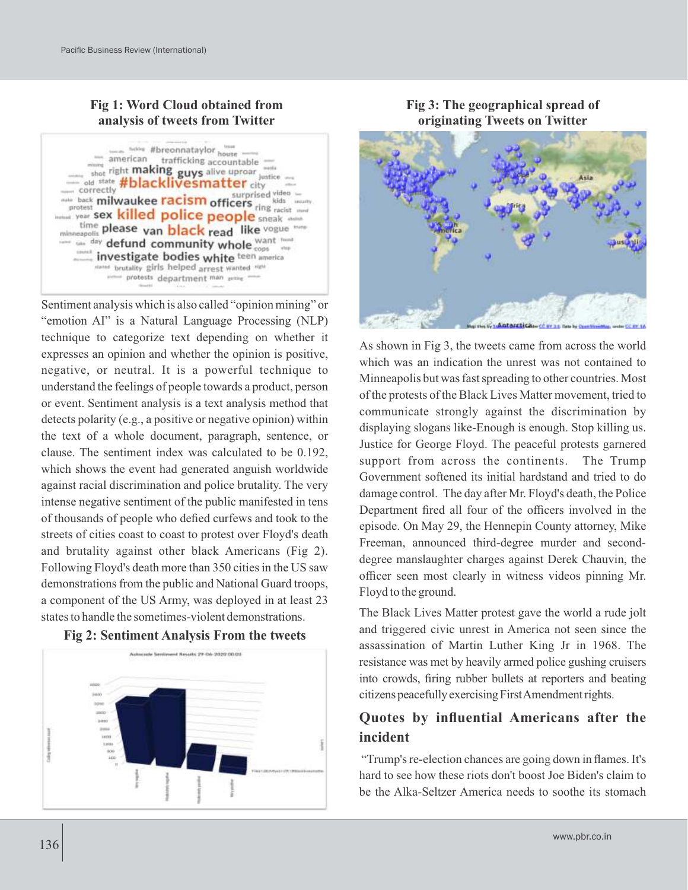# **Fig 1: Word Cloud obtained from analysis of tweets from Twitter**



Sentiment analysis which is also called "opinion mining" or "emotion AI" is a Natural Language Processing (NLP) technique to categorize text depending on whether it expresses an opinion and whether the opinion is positive, negative, or neutral. It is a powerful technique to understand the feelings of people towards a product, person or event. Sentiment analysis is a text analysis method that detects polarity (e.g., a positive or negative opinion) within the text of a whole document, paragraph, sentence, or clause. The sentiment index was calculated to be 0.192, which shows the event had generated anguish worldwide against racial discrimination and police brutality. The very intense negative sentiment of the public manifested in tens of thousands of people who defied curfews and took to the streets of cities coast to coast to protest over Floyd's death and brutality against other black Americans (Fig 2). Following Floyd's death more than 350 cities in the US saw demonstrations from the public and National Guard troops, a component of the US Army, was deployed in at least 23 states to handle the sometimes-violent demonstrations.





# **Fig 3: The geographical spread of originating Tweets on Twitter**



As shown in Fig 3, the tweets came from across the world which was an indication the unrest was not contained to Minneapolis but was fast spreading to other countries. Most of the protests of the Black Lives Matter movement, tried to communicate strongly against the discrimination by displaying slogans like-Enough is enough. Stop killing us. Justice for George Floyd. The peaceful protests garnered support from across the continents. The Trump Government softened its initial hardstand and tried to do damage control. The day after Mr. Floyd's death, the Police Department fired all four of the officers involved in the episode. On May 29, the Hennepin County attorney, Mike Freeman, announced third-degree murder and seconddegree manslaughter charges against Derek Chauvin, the officer seen most clearly in witness videos pinning Mr. Floyd to the ground.

The Black Lives Matter protest gave the world a rude jolt and triggered civic unrest in America not seen since the assassination of Martin Luther King Jr in 1968. The resistance was met by heavily armed police gushing cruisers into crowds, firing rubber bullets at reporters and beating citizens peacefully exercising First Amendment rights.

# **Quotes by influential Americans after the incident**

"Trump's re-election chances are going down in flames. It's hard to see how these riots don't boost Joe Biden's claim to be the Alka-Seltzer America needs to soothe its stomach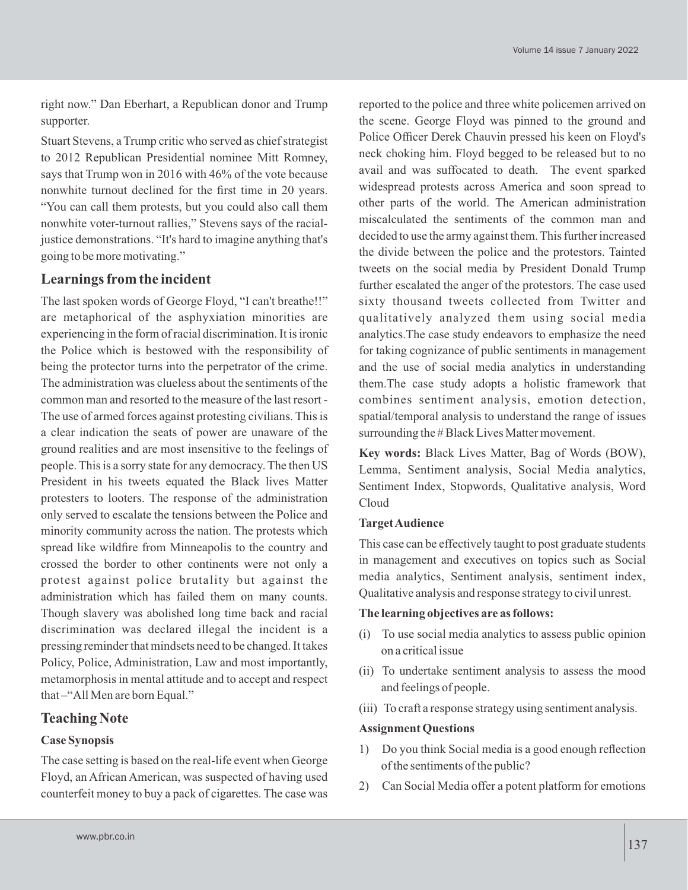right now." Dan Eberhart, a Republican donor and Trump supporter.

Stuart Stevens, a Trump critic who served as chief strategist to 2012 Republican Presidential nominee Mitt Romney, says that Trump won in 2016 with 46% of the vote because nonwhite turnout declined for the first time in 20 years. "You can call them protests, but you could also call them nonwhite voter-turnout rallies," Stevens says of the racialjustice demonstrations. "It's hard to imagine anything that's going to be more motivating."

## **Learnings from the incident**

The last spoken words of George Floyd, "I can't breathe!!" are metaphorical of the asphyxiation minorities are experiencing in the form of racial discrimination. It is ironic the Police which is bestowed with the responsibility of being the protector turns into the perpetrator of the crime. The administration was clueless about the sentiments of the common man and resorted to the measure of the last resort - The use of armed forces against protesting civilians. This is a clear indication the seats of power are unaware of the ground realities and are most insensitive to the feelings of people. This is a sorry state for any democracy. The then US President in his tweets equated the Black lives Matter protesters to looters. The response of the administration only served to escalate the tensions between the Police and minority community across the nation. The protests which spread like wildfire from Minneapolis to the country and crossed the border to other continents were not only a protest against police brutality but against the administration which has failed them on many counts. Though slavery was abolished long time back and racial discrimination was declared illegal the incident is a pressing reminder that mindsets need to be changed. It takes Policy, Police, Administration, Law and most importantly, metamorphosis in mental attitude and to accept and respect that –"All Men are born Equal."

## **Teaching Note**

#### **Case Synopsis**

The case setting is based on the real-life event when George Floyd, an African American, was suspected of having used counterfeit money to buy a pack of cigarettes. The case was

reported to the police and three white policemen arrived on the scene. George Floyd was pinned to the ground and Police Officer Derek Chauvin pressed his keen on Floyd's neck choking him. Floyd begged to be released but to no avail and was suffocated to death. The event sparked widespread protests across America and soon spread to other parts of the world. The American administration miscalculated the sentiments of the common man and decided to use the army against them. This further increased the divide between the police and the protestors. Tainted tweets on the social media by President Donald Trump further escalated the anger of the protestors. The case used sixty thousand tweets collected from Twitter and qualitatively analyzed them using social media analytics.The case study endeavors to emphasize the need for taking cognizance of public sentiments in management and the use of social media analytics in understanding them.The case study adopts a holistic framework that combines sentiment analysis, emotion detection, spatial/temporal analysis to understand the range of issues surrounding the # Black Lives Matter movement.

**Key words:** Black Lives Matter, Bag of Words (BOW), Lemma, Sentiment analysis, Social Media analytics, Sentiment Index, Stopwords, Qualitative analysis, Word Cloud

#### **Target Audience**

This case can be effectively taught to post graduate students in management and executives on topics such as Social media analytics, Sentiment analysis, sentiment index, Qualitative analysis and response strategy to civil unrest.

#### **The learning objectives are as follows:**

- (i) To use social media analytics to assess public opinion on a critical issue
- (ii) To undertake sentiment analysis to assess the mood and feelings of people.
- (iii) To craft a response strategy using sentiment analysis.

#### **Assignment Questions**

- 1) Do you think Social media is a good enough reflection of the sentiments of the public?
- 2) Can Social Media offer a potent platform for emotions